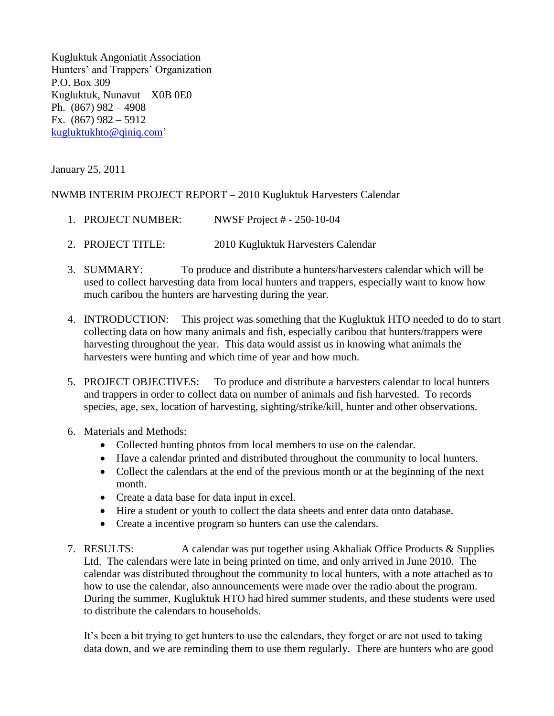Kugluktuk Angoniatit Association Hunters' and Trappers' Organization P.O. Box 309 Kugluktuk, Nunavut X0B 0E0 Ph. (867) 982 – 4908 Fx. (867) 982 – 5912 [kugluktukhto@qiniq.com'](mailto:kugluktukhto@qiniq.com)

January 25, 2011

## NWMB INTERIM PROJECT REPORT – 2010 Kugluktuk Harvesters Calendar

- 1. PROJECT NUMBER: NWSF Project # 250-10-04
- 2. PROJECT TITLE: 2010 Kugluktuk Harvesters Calendar
- 3. SUMMARY: To produce and distribute a hunters/harvesters calendar which will be used to collect harvesting data from local hunters and trappers, especially want to know how much caribou the hunters are harvesting during the year.
- 4. INTRODUCTION: This project was something that the Kugluktuk HTO needed to do to start collecting data on how many animals and fish, especially caribou that hunters/trappers were harvesting throughout the year. This data would assist us in knowing what animals the harvesters were hunting and which time of year and how much.
- 5. PROJECT OBJECTIVES: To produce and distribute a harvesters calendar to local hunters and trappers in order to collect data on number of animals and fish harvested. To records species, age, sex, location of harvesting, sighting/strike/kill, hunter and other observations.
- 6. Materials and Methods:
	- Collected hunting photos from local members to use on the calendar.
	- Have a calendar printed and distributed throughout the community to local hunters.
	- Collect the calendars at the end of the previous month or at the beginning of the next month.
	- Create a data base for data input in excel.
	- Hire a student or youth to collect the data sheets and enter data onto database.
	- Create a incentive program so hunters can use the calendars.
- 7. RESULTS: A calendar was put together using Akhaliak Office Products & Supplies Ltd. The calendars were late in being printed on time, and only arrived in June 2010. The calendar was distributed throughout the community to local hunters, with a note attached as to how to use the calendar, also announcements were made over the radio about the program. During the summer, Kugluktuk HTO had hired summer students, and these students were used to distribute the calendars to households.

It's been a bit trying to get hunters to use the calendars, they forget or are not used to taking data down, and we are reminding them to use them regularly. There are hunters who are good